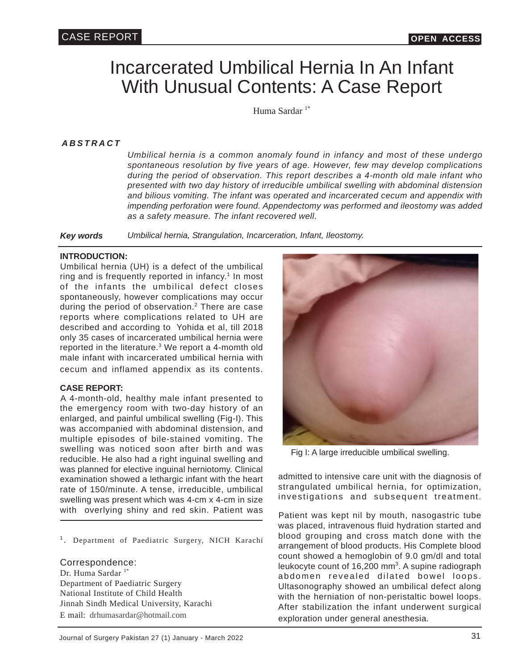# Incarcerated Umbilical Hernia In An Infant With Unusual Contents: A Case Report

Huma Sardar<sup>1\*</sup>

*ABSTRACT*

*Umbilical hernia is a common anomaly found in infancy and most of these undergo spontaneous resolution by five years of age. However, few may develop complications during the period of observation. This report describes a 4-month old male infant who presented with two day history of irreducible umbilical swelling with abdominal distension and bilious vomiting. The infant was operated and incarcerated cecum and appendix with impending perforation were found. Appendectomy was performed and ileostomy was added as a safety measure. The infant recovered well.*

*Key words Umbilical hernia, Strangulation, Incarceration, Infant, Ileostomy.*

#### **INTRODUCTION:**

Umbilical hernia (UH) is a defect of the umbilical ring and is frequently reported in infancy.<sup>1</sup> In most of the infants the umbilical defect closes spontaneously, however complications may occur during the period of observation.<sup>2</sup> There are case reports where complications related to UH are described and according to Yohida et al, till 2018 only 35 cases of incarcerated umbilical hernia were reported in the literature. $3$  We report a 4-momth old male infant with incarcerated umbilical hernia with cecum and inflamed appendix as its contents.

#### **CASE REPORT:**

A 4-month-old, healthy male infant presented to the emergency room with two-day history of an enlarged, and painful umbilical swelling (Fig-I). This was accompanied with abdominal distension, and multiple episodes of bile-stained vomiting. The swelling was noticed soon after birth and was reducible. He also had a right inguinal swelling and was planned for elective inguinal herniotomy. Clinical examination showed a lethargic infant with the heart rate of 150/minute. A tense, irreducible, umbilical swelling was present which was 4-cm x 4-cm in size with overlying shiny and red skin. Patient was

<sup>1</sup>. Department of Paediatric Surgery, NICH Karachi

Correspondence: Dr. Huma Sardar<sup>1\*</sup> Department of Paediatric Surgery National Institute of Child Health Jinnah Sindh Medical University, Karachi E mail: drhumasardar@hotmail.com



Fig I: A large irreducible umbilical swelling.

admitted to intensive care unit with the diagnosis of strangulated umbilical hernia, for optimization, investigations and subsequent treatment.

Patient was kept nil by mouth, nasogastric tube was placed, intravenous fluid hydration started and blood grouping and cross match done with the arrangement of blood products. His Complete blood count showed a hemoglobin of 9.0 gm/dl and total leukocyte count of 16,200 mm<sup>3</sup>. A supine radiograph abdomen revealed dilated bowel loops. Ultasonography showed an umbilical defect along with the herniation of non-peristaltic bowel loops. After stabilization the infant underwent surgical exploration under general anesthesia.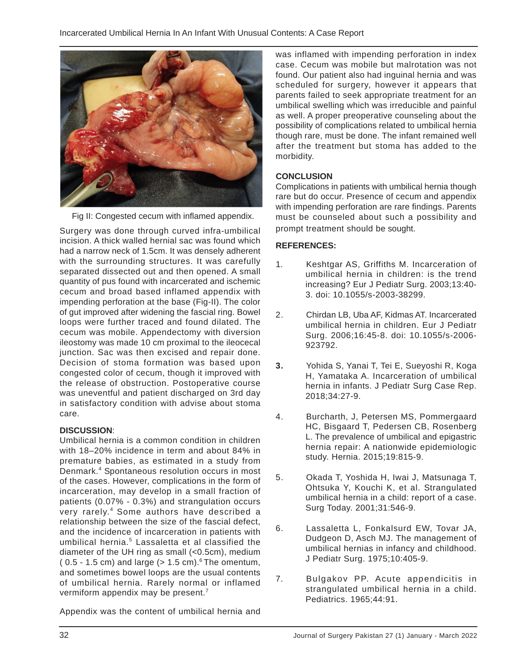

Fig II: Congested cecum with inflamed appendix.

Surgery was done through curved infra-umbilical incision. A thick walled hernial sac was found which had a narrow neck of 1.5cm. It was densely adherent with the surrounding structures. It was carefully separated dissected out and then opened. A small quantity of pus found with incarcerated and ischemic cecum and broad based inflamed appendix with impending perforation at the base (Fig-II). The color of gut improved after widening the fascial ring. Bowel loops were further traced and found dilated. The cecum was mobile. Appendectomy with diversion ileostomy was made 10 cm proximal to the ileocecal junction. Sac was then excised and repair done. Decision of stoma formation was based upon congested color of cecum, though it improved with the release of obstruction. Postoperative course was uneventful and patient discharged on 3rd day in satisfactory condition with advise about stoma care.

#### **DISCUSSION**:

Umbilical hernia is a common condition in children with 18–20% incidence in term and about 84% in premature babies, as estimated in a study from Denmark.<sup>4</sup> Spontaneous resolution occurs in most of the cases. However, complications in the form of incarceration, may develop in a small fraction of patients (0.07% - 0.3%) and strangulation occurs very rarely.<sup>4</sup> Some authors have described a relationship between the size of the fascial defect, and the incidence of incarceration in patients with umbilical hernia.<sup>5</sup> Lassaletta et al classified the diameter of the UH ring as small (<0.5cm), medium (  $0.5 - 1.5$  cm) and large ( $> 1.5$  cm).<sup>6</sup> The omentum, and sometimes bowel loops are the usual contents of umbilical hernia. Rarely normal or inflamed vermiform appendix may be present.<sup>7</sup>

Appendix was the content of umbilical hernia and

was inflamed with impending perforation in index case. Cecum was mobile but malrotation was not found. Our patient also had inguinal hernia and was scheduled for surgery, however it appears that parents failed to seek appropriate treatment for an umbilical swelling which was irreducible and painful as well. A proper preoperative counseling about the possibility of complications related to umbilical hernia though rare, must be done. The infant remained well after the treatment but stoma has added to the morbidity.

## **CONCLUSION**

Complications in patients with umbilical hernia though rare but do occur. Presence of cecum and appendix with impending perforation are rare findings. Parents must be counseled about such a possibility and prompt treatment should be sought.

### **REFERENCES:**

- 1. Keshtgar AS, Griffiths M. Incarceration of umbilical hernia in children: is the trend increasing? Eur J Pediatr Surg. 2003;13:40- 3. doi: 10.1055/s-2003-38299.
- 2. Chirdan LB, Uba AF, Kidmas AT. Incarcerated umbilical hernia in children. Eur J Pediatr Surg. 2006;16:45-8. doi: 10.1055/s-2006- 923792.
- **3.** Yohida S, Yanai T, Tei E, Sueyoshi R, Koga H, Yamataka A. Incarceration of umbilical hernia in infants. J Pediatr Surg Case Rep. 2018;34:27-9.
- 4. Burcharth, J, Petersen MS, Pommergaard HC, Bisgaard T, Pedersen CB, Rosenberg L. The prevalence of umbilical and epigastric hernia repair: A nationwide epidemiologic study. Hernia. 2015;19:815-9.
- 5. Okada T, Yoshida H, Iwai J, Matsunaga T, Ohtsuka Y, Kouchi K, et al. Strangulated umbilical hernia in a child: report of a case. Surg Today. 2001;31:546-9.
- 6. Lassaletta L, Fonkalsurd EW, Tovar JA, Dudgeon D, Asch MJ. The management of umbilical hernias in infancy and childhood. J Pediatr Surg. 1975;10:405-9.
- 7. Bulgakov PP. Acute appendicitis in strangulated umbilical hernia in a child. Pediatrics. 1965;44:91.